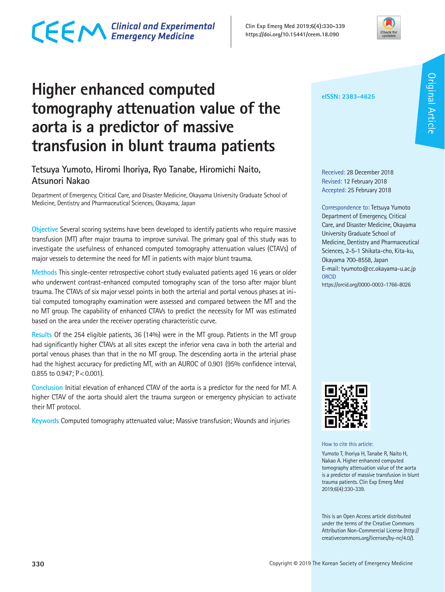

### **Higher enhanced computed tomography attenuation value of the aorta is a predictor of massive transfusion in blunt trauma patients**

#### **Tetsuya Yumoto, Hiromi Ihoriya, Ryo Tanabe, Hiromichi Naito, Atsunori Nakao**

Department of Emergency, Critical Care, and Disaster Medicine, Okayama University Graduate School of Medicine, Dentistry and Pharmaceutical Sciences, Okayama, Japan

**Objective** Several scoring systems have been developed to identify patients who require massive transfusion (MT) after major trauma to improve survival. The primary goal of this study was to investigate the usefulness of enhanced computed tomography attenuation values (CTAVs) of major vessels to determine the need for MT in patients with major blunt trauma.

**Methods** This single-center retrospective cohort study evaluated patients aged 16 years or older who underwent contrast-enhanced computed tomography scan of the torso after major blunt trauma. The CTAVs of six major vessel points in both the arterial and portal venous phases at initial computed tomography examination were assessed and compared between the MT and the no MT group. The capability of enhanced CTAVs to predict the necessity for MT was estimated based on the area under the receiver operating characteristic curve.

**Results** Of the 254 eligible patients, 36 (14%) were in the MT group. Patients in the MT group had significantly higher CTAVs at all sites except the inferior vena cava in both the arterial and portal venous phases than that in the no MT group. The descending aorta in the arterial phase had the highest accuracy for predicting MT, with an AUROC of 0.901 (95% confidence interval, 0.855 to 0.947;  $P < 0.001$ ).

**Conclusion** Initial elevation of enhanced CTAV of the aorta is a predictor for the need for MT. A higher CTAV of the aorta should alert the trauma surgeon or emergency physician to activate their MT protocol.

**Keywords** Computed tomography attenuated value; Massive transfusion; Wounds and injuries

**eISSN: 2383-4625**

Received: 28 December 2018 Revised: 12 February 2018 Accepted: 25 February 2018

Correspondence to: Tetsuya Yumoto Department of Emergency, Critical Care, and Disaster Medicine, Okayama University Graduate School of Medicine, Dentistry and Pharmaceutical Sciences, 2-5-1 Shikata-cho, Kita-ku, Okayama 700-8558, Japan E-mail: tyumoto@cc.okayama-u.ac.jp **ORCID** https://orcid.org/0000-0003-1766-8026



How to cite this article:

Yumoto T, Ihoriya H, Tanabe R, Naito H, Nakao A. Higher enhanced computed tomography attenuation value of the aorta is a predictor of massive transfusion in blunt trauma patients. Clin Exp Emerg Med 2019;6(4):330-339.

This is an Open Access article distributed under the terms of the Creative Commons Attribution Non-Commercial License (http:// creativecommons.org/licenses/by-nc/4.0/).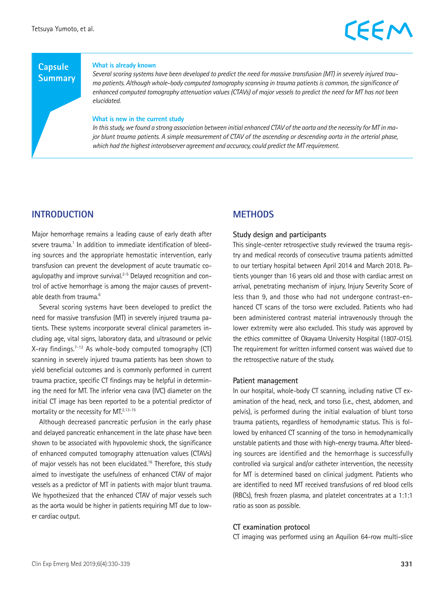#### **Capsule Summary**

#### **What is already known**

*Several scoring systems have been developed to predict the need for massive transfusion (MT) in severely injured trauma patients. Although whole-body computed tomography scanning in trauma patients is common, the significance of enhanced computed tomography attenuation values (CTAVs) of major vessels to predict the need for MT has not been elucidated.*

#### **What is new in the current study**

*In this study, we found a strong association between initial enhanced CTAV of the aorta and the necessity for MT in major blunt trauma patients. A simple measurement of CTAV of the ascending or descending aorta in the arterial phase, which had the highest interobserver agreement and accuracy, could predict the MT requirement.*

#### **INTRODUCTION**

Major hemorrhage remains a leading cause of early death after severe trauma.<sup>1</sup> In addition to immediate identification of bleeding sources and the appropriate hemostatic intervention, early transfusion can prevent the development of acute traumatic coagulopathy and improve survival. $2-5$  Delayed recognition and control of active hemorrhage is among the major causes of preventable death from trauma.<sup>6</sup>

Several scoring systems have been developed to predict the need for massive transfusion (MT) in severely injured trauma patients. These systems incorporate several clinical parameters including age, vital signs, laboratory data, and ultrasound or pelvic X-ray findings.7-12 As whole-body computed tomography (CT) scanning in severely injured trauma patients has been shown to yield beneficial outcomes and is commonly performed in current trauma practice, specific CT findings may be helpful in determining the need for MT. The inferior vena cava (IVC) diameter on the initial CT image has been reported to be a potential predictor of mortality or the necessity for MT.<sup>2,13-15</sup>

Although decreased pancreatic perfusion in the early phase and delayed pancreatic enhancement in the late phase have been shown to be associated with hypovolemic shock, the significance of enhanced computed tomography attenuation values (CTAVs) of major vessels has not been elucidated.16 Therefore, this study aimed to investigate the usefulness of enhanced CTAV of major vessels as a predictor of MT in patients with major blunt trauma. We hypothesized that the enhanced CTAV of major vessels such as the aorta would be higher in patients requiring MT due to lower cardiac output.

#### **METHODS**

#### **Study design and participants**

This single-center retrospective study reviewed the trauma registry and medical records of consecutive trauma patients admitted to our tertiary hospital between April 2014 and March 2018. Patients younger than 16 years old and those with cardiac arrest on arrival, penetrating mechanism of injury, Injury Severity Score of less than 9, and those who had not undergone contrast-enhanced CT scans of the torso were excluded. Patients who had been administered contrast material intravenously through the lower extremity were also excluded. This study was approved by the ethics committee of Okayama University Hospital (1807-015). The requirement for written informed consent was waived due to the retrospective nature of the study.

#### **Patient management**

In our hospital, whole-body CT scanning, including native CT examination of the head, neck, and torso (i.e., chest, abdomen, and pelvis), is performed during the initial evaluation of blunt torso trauma patients, regardless of hemodynamic status. This is followed by enhanced CT scanning of the torso in hemodynamically unstable patients and those with high-energy trauma. After bleeding sources are identified and the hemorrhage is successfully controlled via surgical and/or catheter intervention, the necessity for MT is determined based on clinical judgment. Patients who are identified to need MT received transfusions of red blood cells (RBCs), fresh frozen plasma, and platelet concentrates at a 1:1:1 ratio as soon as possible.

#### **CT examination protocol**

CT imaging was performed using an Aquilion 64-row multi-slice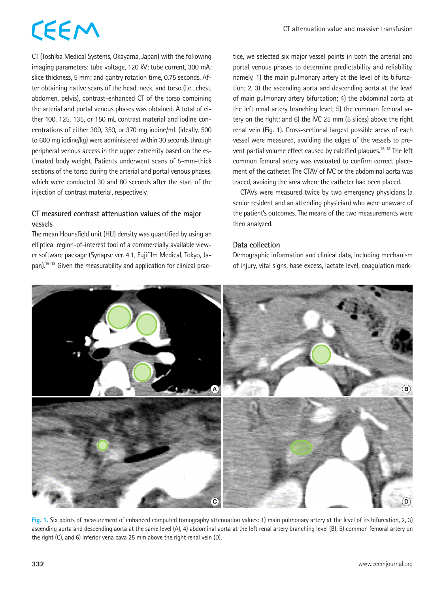CT (Toshiba Medical Systems, Okayama, Japan) with the following imaging parameters: tube voltage, 120 kV; tube current, 300 mA; slice thickness, 5 mm; and gantry rotation time, 0.75 seconds. After obtaining native scans of the head, neck, and torso (i.e., chest, abdomen, pelvis), contrast-enhanced CT of the torso combining the arterial and portal venous phases was obtained. A total of either 100, 125, 135, or 150 mL contrast material and iodine concentrations of either 300, 350, or 370 mg iodine/mL (ideally, 500 to 600 mg iodine/kg) were administered within 30 seconds through peripheral venous access in the upper extremity based on the estimated body weight. Patients underwent scans of 5-mm-thick sections of the torso during the arterial and portal venous phases, which were conducted 30 and 80 seconds after the start of the injection of contrast material, respectively.

#### **CT measured contrast attenuation values of the major vessels**

The mean Hounsfield unit (HU) density was quantified by using an elliptical region-of-interest tool of a commercially available viewer software package (Synapse ver. 4.1, Fujifilm Medical, Tokyo, Japan).16-18 Given the measurability and application for clinical practice, we selected six major vessel points in both the arterial and portal venous phases to determine predictability and reliability, namely, 1) the main pulmonary artery at the level of its bifurcation; 2, 3) the ascending aorta and descending aorta at the level of main pulmonary artery bifurcation; 4) the abdominal aorta at the left renal artery branching level; 5) the common femoral artery on the right; and 6) the IVC 25 mm (5 slices) above the right renal vein (Fig. 1). Cross-sectional largest possible areas of each vessel were measured, avoiding the edges of the vessels to prevent partial volume effect caused by calcified plaques.<sup>16-18</sup> The left common femoral artery was evaluated to confirm correct placement of the catheter. The CTAV of IVC or the abdominal aorta was traced, avoiding the area where the catheter had been placed.

CTAVs were measured twice by two emergency physicians (a senior resident and an attending physician) who were unaware of the patient's outcomes. The means of the two measurements were then analyzed.

#### **Data collection**

Demographic information and clinical data, including mechanism of injury, vital signs, base excess, lactate level, coagulation mark-



**Fig. 1.** Six points of measurement of enhanced computed tomography attenuation values: 1) main pulmonary artery at the level of its bifurcation, 2, 3) ascending aorta and descending aorta at the same level (A), 4) abdominal aorta at the left renal artery branching level (B), 5) common femoral artery on the right (C), and 6) inferior vena cava 25 mm above the right renal vein (D).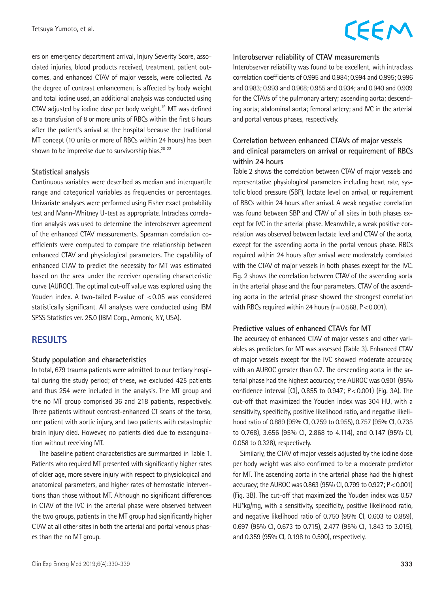Tetsuya Yumoto, et al.

### CEEM

ers on emergency department arrival, Injury Severity Score, associated injuries, blood products received, treatment, patient outcomes, and enhanced CTAV of major vessels, were collected. As the degree of contrast enhancement is affected by body weight and total iodine used, an additional analysis was conducted using CTAV adjusted by iodine dose per body weight.19 MT was defined as a transfusion of 8 or more units of RBCs within the first 6 hours after the patient's arrival at the hospital because the traditional MT concept (10 units or more of RBCs within 24 hours) has been shown to be imprecise due to survivorship bias.<sup>20-22</sup>

#### **Statistical analysis**

Continuous variables were described as median and interquartile range and categorical variables as frequencies or percentages. Univariate analyses were performed using Fisher exact probability test and Mann-Whitney U-test as appropriate. Intraclass correlation analysis was used to determine the interobserver agreement of the enhanced CTAV measurements. Spearman correlation coefficients were computed to compare the relationship between enhanced CTAV and physiological parameters. The capability of enhanced CTAV to predict the necessity for MT was estimated based on the area under the receiver operating characteristic curve (AUROC). The optimal cut-off value was explored using the Youden index. A two-tailed P-value of <0.05 was considered statistically significant. All analyses were conducted using IBM SPSS Statistics ver. 25.0 (IBM Corp., Armonk, NY, USA).

#### **RESULTS**

#### **Study population and characteristics**

In total, 679 trauma patients were admitted to our tertiary hospital during the study period; of these, we excluded 425 patients and thus 254 were included in the analysis. The MT group and the no MT group comprised 36 and 218 patients, respectively. Three patients without contrast-enhanced CT scans of the torso, one patient with aortic injury, and two patients with catastrophic brain injury died. However, no patients died due to exsanguination without receiving MT.

The baseline patient characteristics are summarized in Table 1. Patients who required MT presented with significantly higher rates of older age, more severe injury with respect to physiological and anatomical parameters, and higher rates of hemostatic interventions than those without MT. Although no significant differences in CTAV of the IVC in the arterial phase were observed between the two groups, patients in the MT group had significantly higher CTAV at all other sites in both the arterial and portal venous phases than the no MT group.

#### **Interobserver reliability of CTAV measurements**

Interobserver reliability was found to be excellent, with intraclass correlation coefficients of 0.995 and 0.984; 0.994 and 0.995; 0.996 and 0.983; 0.993 and 0.968; 0.955 and 0.934; and 0.940 and 0.909 for the CTAVs of the pulmonary artery; ascending aorta; descending aorta; abdominal aorta; femoral artery; and IVC in the arterial and portal venous phases, respectively.

#### **Correlation between enhanced CTAVs of major vessels and clinical parameters on arrival or requirement of RBCs within 24 hours**

Table 2 shows the correlation between CTAV of major vessels and representative physiological parameters including heart rate, systolic blood pressure (SBP), lactate level on arrival, or requirement of RBCs within 24 hours after arrival. A weak negative correlation was found between SBP and CTAV of all sites in both phases except for IVC in the arterial phase. Meanwhile, a weak positive correlation was observed between lactate level and CTAV of the aorta, except for the ascending aorta in the portal venous phase. RBCs required within 24 hours after arrival were moderately correlated with the CTAV of major vessels in both phases except for the IVC. Fig. 2 shows the correlation between CTAV of the ascending aorta in the arterial phase and the four parameters. CTAV of the ascending aorta in the arterial phase showed the strongest correlation with RBCs required within 24 hours ( $r = 0.568$ ,  $P < 0.001$ ).

#### **Predictive values of enhanced CTAVs for MT**

The accuracy of enhanced CTAV of major vessels and other variables as predictors for MT was assessed (Table 3). Enhanced CTAV of major vessels except for the IVC showed moderate accuracy, with an AUROC greater than 0.7. The descending aorta in the arterial phase had the highest accuracy; the AUROC was 0.901 (95% confidence interval [CI], 0.855 to 0.947; P<0.001) (Fig. 3A). The cut-off that maximized the Youden index was 304 HU, with a sensitivity, specificity, positive likelihood ratio, and negative likelihood ratio of 0.889 (95% CI, 0.759 to 0.955), 0.757 (95% CI, 0.735 to 0.768), 3.656 (95% CI, 2.868 to 4.114), and 0.147 (95% CI, 0.058 to 0.328), respectively.

Similarly, the CTAV of major vessels adjusted by the iodine dose per body weight was also confirmed to be a moderate predictor for MT. The ascending aorta in the arterial phase had the highest accuracy; the AUROC was 0.863 (95% CI, 0.799 to 0.927; P<0.001) (Fig. 3B). The cut-off that maximized the Youden index was 0.57 HU\*kg/mg, with a sensitivity, specificity, positive likelihood ratio, and negative likelihood ratio of 0.750 (95% CI, 0.603 to 0.859), 0.697 (95% CI, 0.673 to 0.715), 2.477 (95% CI, 1.843 to 3.015), and 0.359 (95% CI, 0.198 to 0.590), respectively.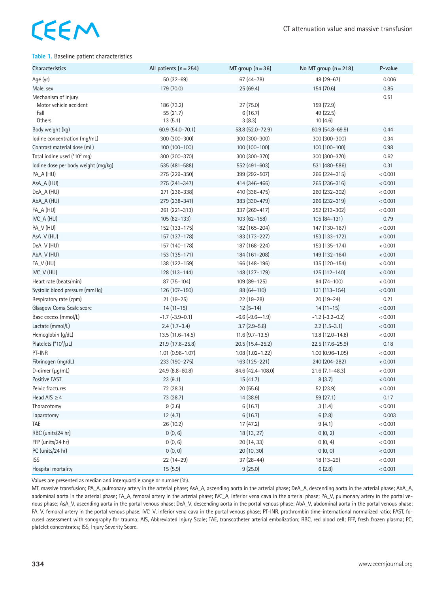#### **Table 1.** Baseline patient characteristics

| Characteristics                                                 | All patients $(n = 254)$           | MT group $(n=36)$              | No MT group $(n=218)$              | P-value |
|-----------------------------------------------------------------|------------------------------------|--------------------------------|------------------------------------|---------|
| Age (yr)                                                        | $50(32-69)$                        | 67 (44 - 78)                   | 48 (29-67)                         | 0.006   |
| Male, sex                                                       | 179 (70.0)                         | 25 (69.4)                      | 154 (70.6)                         | 0.85    |
| Mechanism of injury<br>Motor vehicle accident<br>Fall<br>Others | 186 (73.2)<br>55 (21.7)<br>13(5.1) | 27 (75.0)<br>6(16.7)<br>3(8.3) | 159 (72.9)<br>49 (22.5)<br>10(4.6) | 0.51    |
| Body weight (kg)                                                | 60.9 (54.0-70.1)                   | 58.8 (52.0-72.9)               | 60.9 (54.8-69.9)                   | 0.44    |
| lodine concentration (mg/mL)                                    | 300 (300-300)                      | 300 (300-300)                  | 300 (300-300)                      | 0.34    |
| Contrast material dose (mL)                                     | 100 (100-100)                      | 100 (100-100)                  | 100 (100-100)                      | 0.98    |
| Total iodine used (*10 <sup>2</sup> mg)                         | 300 (300-370)                      | 300 (300-370)                  | 300 (300-370)                      | 0.62    |
| lodine dose per body weight (mg/kg)                             | 535 (481-588)                      | 552 (491-603)                  | 531 (480-586)                      | 0.31    |
| PA_A (HU)                                                       | 275 (229–350)                      | 399 (292-507)                  | 266 (224-315)                      | < 0.001 |
| AsA_A (HU)                                                      | 275 (241-347)                      | 414 (346-466)                  | 265 (236-316)                      | < 0.001 |
| DeA_A (HU)                                                      | 271 (236-338)                      | 410 (338-475)                  | 260 (232-302)                      | < 0.001 |
| AbA_A (HU)                                                      | 279 (238-341)                      | 383 (330-479)                  | 266 (232-319)                      | < 0.001 |
| FA_A (HU)                                                       | 261 (221-313)                      | 337 (269-417)                  | 252 (213-302)                      | < 0.001 |
| IVC_A (HU)                                                      | $105(82-133)$                      | $103(62 - 158)$                | $105(84-131)$                      | 0.79    |
| PA_V (HU)                                                       | 152 (133-175)                      | 182 (165-204)                  | 147 (130-167)                      | < 0.001 |
| AsA_V (HU)                                                      | 157 (137-178)                      | 183 (173-227)                  | 153 (133-172)                      | < 0.001 |
| DeA_V (HU)                                                      | 157 (140-178)                      | 187 (168-224)                  | 153 (135-174)                      | < 0.001 |
| AbA_V (HU)                                                      | 153 (135-171)                      | 184 (161-208)                  | 149 (132-164)                      | < 0.001 |
| FA_V (HU)                                                       | 138 (122-159)                      | 166 (148-196)                  | 135 (120-154)                      | < 0.001 |
| IVC_V (HU)                                                      | 128 (113-144)                      | 148 (127-179)                  | 125 (112-140)                      | < 0.001 |
| Heart rate (beats/min)                                          | 87 (75-104)                        | 109 (89-125)                   | 84 (74-100)                        | < 0.001 |
| Systolic blood pressure (mmHg)                                  | 126 (107-150)                      | 88 (64-110)                    | 131 (113-154)                      | < 0.001 |
| Respiratory rate (cpm)                                          | $21(19-25)$                        | 22 (19-28)                     | 20 (19-24)                         | 0.21    |
| Glasgow Coma Scale score                                        | $14(11-15)$                        | $12(5-14)$                     | $14(11-15)$                        | < 0.001 |
| Base excess (mmol/L)                                            | $-1.7$ $(-3.9 - 0.1)$              | $-6.6$ $(-9.6 - -1.9)$         | $-1.2$ ( $-3.2-0.2$ )              | < 0.001 |
| Lactate (mmol/L)                                                | $2.4(1.7-3.4)$                     | $3.7(2.9-5.6)$                 | $2.2(1.5-3.1)$                     | < 0.001 |
| Hemoglobin (g/dL)                                               | $13.5(11.6 - 14.5)$                | $11.6(9.7-13.5)$               | 13.8 (12.0-14.8)                   | < 0.001 |
| Platelets (*10 $^{4}/\mu$ L)                                    | 21.9 (17.6-25.8)                   | $20.5(15.4 - 25.2)$            | 22.5 (17.6-25.9)                   | 0.18    |
| PT-INR                                                          | $1.01(0.96 - 1.07)$                | $1.08(1.02 - 1.22)$            | $1.00(0.96 - 1.05)$                | < 0.001 |
| Fibrinogen (mg/dL)                                              | 233 (190-275)                      | 163 (125-221)                  | 240 (204-282)                      | < 0.001 |
| D-dimer $(\mu q/mL)$                                            | 24.9 (8.8-60.8)                    | 84.6 (42.4-108.0)              | $21.6(7.1 - 48.3)$                 | < 0.001 |
| Positive FAST                                                   | 23(9.1)                            | 15(41.7)                       | 8(3.7)                             | < 0.001 |
| Pelvic fractures                                                | 72 (28.3)                          | 20 (55.6)                      | 52 (23.9)                          | < 0.001 |
| Head AIS $\geq$ 4                                               | 73 (28.7)                          | 14 (38.9)                      | 59 (27.1)                          | 0.17    |
| Thoracotomy                                                     | 9(3.6)                             | 6(16.7)                        | 3(1.4)                             | < 0.001 |
| Laparotomy                                                      | 12(4.7)                            | 6(16.7)                        | 6(2.8)                             | 0.003   |
| TAE                                                             | 26 (10.2)                          | 17 (47.2)                      | 9(4.1)                             | < 0.001 |
| RBC (units/24 hr)                                               | 0(0, 6)                            | 18 (13, 27)                    | 0(0, 2)                            | < 0.001 |
| FFP (units/24 hr)                                               | 0(0, 6)                            | 20 (14, 33)                    | 0(0, 4)                            | < 0.001 |
| PC (units/24 hr)                                                | 0(0, 0)                            | 20 (10, 30)                    | 0(0, 0)                            | < 0.001 |
| <b>ISS</b>                                                      | 22 (14-29)                         | 37 (28-44)                     | 18 (13-29)                         | < 0.001 |
| Hospital mortality                                              | 15(5.9)                            | 9(25.0)                        | 6(2.8)                             | < 0.001 |

Values are presented as median and interquartile range or number (%).

MT, massive transfusion; PA\_A, pulmonary artery in the arterial phase; AsA\_A, ascending aorta in the arterial phase; DeA\_A, descending aorta in the arterial phase; AbA\_A, abdominal aorta in the arterial phase; FA\_A, femoral artery in the arterial phase; IVC\_A, inferior vena cava in the arterial phase; PA\_V, pulmonary artery in the portal venous phase; AsA\_V, ascending aorta in the portal venous phase; DeA\_V, descending aorta in the portal venous phase; AbA\_V, abdominal aorta in the portal venous phase; FA\_V, femoral artery in the portal venous phase; IVC\_V, inferior vena cava in the portal venous phase; PT-INR, prothrombin time-international normalized ratio; FAST, focused assessment with sonography for trauma; AIS, Abbreviated Injury Scale; TAE, transcatheter arterial embolization; RBC, red blood cell; FFP, fresh frozen plasma; PC, platelet concentrates; ISS, Injury Severity Score.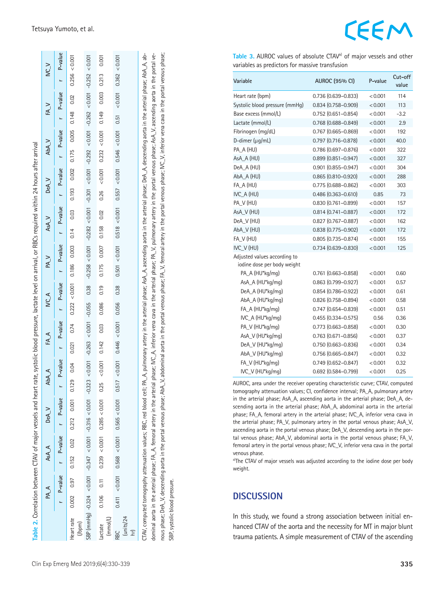ا ب ا

 $\vee$   $\vee$ 

 $FA_v$ 

AbA\_V

 $DeA_V$ 

 $AsA_V$ 

|                                                                                                                                                                                                                                                                                                                                                                                                                                                                                                                                                                                                                                                           |       | $r$ P-value    |       | r P-value r P-value                 | P-value |          | r P-value     |          |        |                  |       |       | r P-value r P-value r P-value r P-value r P-value r P-value |       |               |               |                   |       |        |               | P-value |
|-----------------------------------------------------------------------------------------------------------------------------------------------------------------------------------------------------------------------------------------------------------------------------------------------------------------------------------------------------------------------------------------------------------------------------------------------------------------------------------------------------------------------------------------------------------------------------------------------------------------------------------------------------------|-------|----------------|-------|-------------------------------------|---------|----------|---------------|----------|--------|------------------|-------|-------|-------------------------------------------------------------|-------|---------------|---------------|-------------------|-------|--------|---------------|---------|
| Heart rate<br>(h <sub>pm</sub> )                                                                                                                                                                                                                                                                                                                                                                                                                                                                                                                                                                                                                          | 0.002 | 0.97           | 0.152 | 0.02 0.212 0.001 0.129              | 0.04    | 0.021    | 0.74          | 0.222    | &0.001 | 0.186            | 0.003 | 0.14  | 0.03                                                        | 0.193 | 0.002         | 0.175         | 0.005             | 0.148 | 0.02   | 0.256 < 0.001 |         |
| SBP (mmHg) -0.324 <0.001 -0.347 <0.001 -0.316 <0.001 -0.323                                                                                                                                                                                                                                                                                                                                                                                                                                                                                                                                                                                               |       |                |       |                                     | < 0.001 | $-0.263$ | &0.001        | $-0.055$ | 0.38   | $-0.258 < 0.001$ |       |       | $-0.282 < 0.001$ $-0.301$                                   |       | 0.001         | $-0.292$      | $< 0.001 - 0.262$ |       | 0.001  | $-0.252$      | 0.001   |
| (mmol/L)<br>lactate                                                                                                                                                                                                                                                                                                                                                                                                                                                                                                                                                                                                                                       | 0.106 | $\overline{C}$ |       | $0.239 < 0.001$ 0.285 < 0.001 0.25  | 0.001   | 0.142    | 0.03          | 0.086    | 0.19   | 0.175            | 0.007 | 0.158 | 0.02                                                        | 0.26  | 0.001         | 0.232 < 0.001 |                   | 0.149 | 0.003  | 0.213         | 0.001   |
| units/24<br>RBC<br>                                                                                                                                                                                                                                                                                                                                                                                                                                                                                                                                                                                                                                       |       | 0.411 < 0.001  |       | $0.568 < 0.001$ 0.565 < 0.001 0.517 | &0.001  |          | 0.446 < 0.001 | 0.056    | 0.38   | 0.501 < 0.001    |       |       | 0.518 < 0.001                                               |       | 0.557 < 0.001 | 0.546 < 0.001 |                   | 0.51  | &0.001 | 0.362 < 0.001 |         |
| CTAV, computed tomography attenuation values; RBC, red blood cell; PA_A, pulmonary artery in the arterial phase; Deartai phase; DeA_A, descending aorta in the arterial phase; AbA_A, ab-<br>nous phase; DeA_V, descending aorta in the portal venous phase; AbA_V, abdominal aorta in the portal section the portal venous phase; MC_V, inferior vena cava in the portal venous phase;<br>dominal aorta in the arterial phase; FA_A, femoral artery in the arterial phase; IVC_A, inferior vena cava in the arterial phase; PA_V, pulmonary artery in the portal venous phase; AsA_V, ascending aorta in the portal ve-<br>SBP, systolic blood pressure. |       |                |       |                                     |         |          |               |          |        |                  |       |       |                                                             |       |               |               |                   |       |        |               |         |

Table 2. Correlation between CTAV of major vessels and heart rate, systolic blood pressure, lactate level on arrival, or RBCs required within 24 hours after arrival

Correlation between CTAV of major vessels and heart rate, systolic blood pressure, lactate level on arrival, or RBCs required within 24 hours after arrival

PAA ASAA DeA.V DeA.V ADA.A ADA.A PA.V PA.V ASA.V DeA.V DeA.V DeA.V ADA.V DEA.A ADA.V

 $NC\_A$ 

 $FA.A$ 

AbA\_A

 $DeA_V$ 

 $AsA_A$ 

 $PA.A$ 

 $PA_{N}$ 

### EEM

Table 3. AUROC values of absolute CTAV<sup>a)</sup> of major vessels and other variables as predictors for massive transfusion

| Variable                                                    | <b>AUROC (95% CI)</b>     | P-value | Cut-off<br>value |
|-------------------------------------------------------------|---------------------------|---------|------------------|
| Heart rate (bpm)                                            | $0.736(0.639 - 0.833)$    | < 0.001 | 114              |
| Systolic blood pressure (mmHq)                              | $0.834(0.758 - 0.909)$    | < 0.001 | 113              |
| Base excess (mmol/L)                                        | $0.752$ (0.651-0.854)     | < 0.001 | $-3.2$           |
| Lactate (mmol/L)                                            | $0.768$ $(0.688 - 0.849)$ | < 0.001 | 2.9              |
| Fibrinogen (mg/dL)                                          | $0.767$ $(0.665 - 0.869)$ | < 0.001 | 192              |
| D-dimer (µg/mL)                                             | $0.797(0.716 - 0.878)$    | < 0.001 | 40.0             |
| PA_A (HU)                                                   | 0.786 (0.697-0.876)       | < 0.001 | 322              |
| AsA A (HU)                                                  | $0.899$ $(0.851 - 0.947)$ | < 0.001 | 327              |
| DeA_A (HU)                                                  | $0.901$ $(0.855 - 0.947)$ | < 0.001 | 304              |
| AbA_A (HU)                                                  | $0.865(0.810 - 0.920)$    | < 0.001 | 288              |
| FA_A (HU)                                                   | $0.775(0.688 - 0.862)$    | < 0.001 | 303              |
| IVC A (HU)                                                  | $0.486(0.363 - 0.610)$    | 0.85    | 73               |
| PA_V (HU)                                                   | $0.830(0.761 - 0.899)$    | < 0.001 | 157              |
| AsA_V (HU)                                                  | $0.814(0.741 - 0.887)$    | < 0.001 | 172              |
| DeA_V (HU)                                                  | $0.827$ (0.767-0.887)     | < 0.001 | 162              |
| AbA V (HU)                                                  | 0.838 (0.775-0.902)       | < 0.001 | 172              |
| FA_V (HU)                                                   | $0.805(0.735 - 0.874)$    | < 0.001 | 155              |
| IVC_V (HU)                                                  | $0.734(0.639 - 0.830)$    | < 0.001 | 125              |
| Adjusted values according to<br>iodine dose per body weight |                           |         |                  |
| PA_A (HU*kg/mg)                                             | $0.761$ $(0.663 - 0.858)$ | < 0.001 | 0.60             |
| AsA_A (HU*kg/mg)                                            | $0.863$ $(0.799 - 0.927)$ | < 0.001 | 0.57             |
| DeA_A (HU*kg/mg)                                            | $0.854(0.786 - 0.922)$    | < 0.001 | 0.61             |
| AbA_A (HU*kg/mg)                                            | $0.826(0.758 - 0.894)$    | < 0.001 | 0.58             |
| FA_A (HU*kg/mg)                                             | $0.747$ $(0.654 - 0.839)$ | < 0.001 | 0.51             |
| IVC_A (HU*kg/mg)                                            | $0.455(0.334 - 0.575)$    | 0.56    | 0.36             |
| PA_V (HU*kg/mg)                                             | $0.773$ $(0.663 - 0.858)$ | < 0.001 | 0.30             |
| AsA_V (HU*kg/mg)                                            | $0.763$ $(0.671 - 0.856)$ | < 0.001 | 0.37             |
| DeA_V (HU*kg/mg)                                            | $0.750$ $(0.663 - 0.836)$ | < 0.001 | 0.34             |
| AbA_V (HU*kg/mg)                                            | $0.756$ $(0.665 - 0.847)$ | < 0.001 | 0.32             |
| FA_V (HU*kg/mg)                                             | $0.749(0.652 - 0.847)$    | < 0.001 | 0.32             |
| IVC_V (HU*kg/mg)                                            | 0.692 (0.584-0.799)       | < 0.001 | 0.25             |

AUROC, area under the receiver operating characteristic curve; CTAV, computed tomography attenuation values; CI, confidence interval; PA\_A, pulmonary artery in the arterial phase; AsA\_A, ascending aorta in the arterial phase; DeA\_A, de scending aorta in the arterial phase; AbA\_A, abdominal aorta in the arterial phase; FA\_A, femoral artery in the arterial phase; IVC\_A, inferior vena cava in the arterial phase; PA\_V, pulmonary artery in the portal venous phase; AsA\_V, ascending aorta in the portal venous phase; DeA\_V, descending aorta in the por tal venous phase; AbA\_V, abdominal aorta in the portal venous phase; FA\_V, femoral artery in the portal venous phase; IVC\_V, inferior vena cava in the portal venous phase.

a)The CTAV of major vessels was adjusted according to the iodine dose per body weight.

#### **DISCUSSION**

In this study, we found a strong association between initial en hanced CTAV of the aorta and the necessity for MT in major blunt trauma patients. A simple measurement of CTAV of the ascending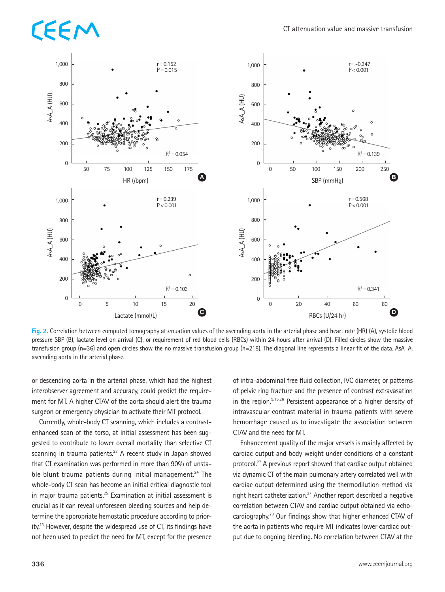# EEM



**Fig. 2.** Correlation between computed tomography attenuation values of the ascending aorta in the arterial phase and heart rate (HR) (A), systolic blood pressure SBP (B), lactate level on arrival (C), or requirement of red blood cells (RBCs) within 24 hours after arrival (D). Filled circles show the massive transfusion group ( $n=36$ ) and open circles show the no massive transfusion group ( $n=218$ ). The diagonal line represents a linear fit of the data. AsA\_A, ascending aorta in the arterial phase.

or descending aorta in the arterial phase, which had the highest interobserver agreement and accuracy, could predict the requirement for MT. A higher CTAV of the aorta should alert the trauma surgeon or emergency physician to activate their MT protocol.

Currently, whole-body CT scanning, which includes a contrastenhanced scan of the torso, at initial assessment has been suggested to contribute to lower overall mortality than selective CT scanning in trauma patients. $23$  A recent study in Japan showed that CT examination was performed in more than 90% of unstable blunt trauma patients during initial management.<sup>24</sup> The whole-body CT scan has become an initial critical diagnostic tool in major trauma patients.<sup>25</sup> Examination at initial assessment is crucial as it can reveal unforeseen bleeding sources and help determine the appropriate hemostatic procedure according to priority.<sup>13</sup> However, despite the widespread use of CT, its findings have not been used to predict the need for MT, except for the presence

of intra-abdominal free fluid collection, IVC diameter, or patterns of pelvic ring fracture and the presence of contrast extravasation in the region. $9,15,26$  Persistent appearance of a higher density of intravascular contrast material in trauma patients with severe hemorrhage caused us to investigate the association between CTAV and the need for MT.

Enhancement quality of the major vessels is mainly affected by cardiac output and body weight under conditions of a constant protocol.27 A previous report showed that cardiac output obtained via dynamic CT of the main pulmonary artery correlated well with cardiac output determined using the thermodilution method via right heart catheterization.<sup>27</sup> Another report described a negative correlation between CTAV and cardiac output obtained via echocardiography.<sup>28</sup> Our findings show that higher enhanced CTAV of the aorta in patients who require MT indicates lower cardiac output due to ongoing bleeding. No correlation between CTAV at the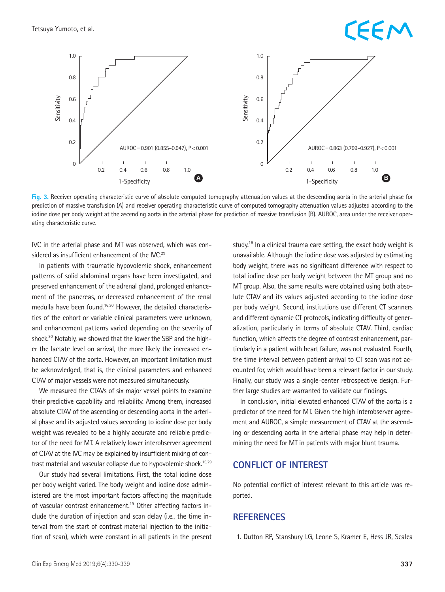### EEM



**Fig. 3.** Receiver operating characteristic curve of absolute computed tomography attenuation values at the descending aorta in the arterial phase for prediction of massive transfusion (A) and receiver operating characteristic curve of computed tomography attenuation values adjusted according to the iodine dose per body weight at the ascending aorta in the arterial phase for prediction of massive transfusion (B). AUROC, area under the receiver operating characteristic curve.

IVC in the arterial phase and MT was observed, which was considered as insufficient enhancement of the IVC.<sup>29</sup>

In patients with traumatic hypovolemic shock, enhancement patterns of solid abdominal organs have been investigated, and preserved enhancement of the adrenal gland, prolonged enhancement of the pancreas, or decreased enhancement of the renal medulla have been found.<sup>16,30</sup> However, the detailed characteristics of the cohort or variable clinical parameters were unknown, and enhancement patterns varied depending on the severity of shock.<sup>30</sup> Notably, we showed that the lower the SBP and the higher the lactate level on arrival, the more likely the increased enhanced CTAV of the aorta. However, an important limitation must be acknowledged, that is, the clinical parameters and enhanced CTAV of major vessels were not measured simultaneously.

We measured the CTAVs of six major vessel points to examine their predictive capability and reliability. Among them, increased absolute CTAV of the ascending or descending aorta in the arterial phase and its adjusted values according to iodine dose per body weight was revealed to be a highly accurate and reliable predictor of the need for MT. A relatively lower interobserver agreement of CTAV at the IVC may be explained by insufficient mixing of contrast material and vascular collapse due to hypovolemic shock.<sup>15,29</sup>

Our study had several limitations. First, the total iodine dose per body weight varied. The body weight and iodine dose administered are the most important factors affecting the magnitude of vascular contrast enhancement.<sup>19</sup> Other affecting factors include the duration of injection and scan delay (i.e., the time interval from the start of contrast material injection to the initiation of scan), which were constant in all patients in the present study.<sup>19</sup> In a clinical trauma care setting, the exact body weight is unavailable. Although the iodine dose was adjusted by estimating body weight, there was no significant difference with respect to total iodine dose per body weight between the MT group and no MT group. Also, the same results were obtained using both absolute CTAV and its values adjusted according to the iodine dose per body weight. Second, institutions use different CT scanners and different dynamic CT protocols, indicating difficulty of generalization, particularly in terms of absolute CTAV. Third, cardiac function, which affects the degree of contrast enhancement, particularly in a patient with heart failure, was not evaluated. Fourth, the time interval between patient arrival to CT scan was not accounted for, which would have been a relevant factor in our study. Finally, our study was a single-center retrospective design. Further large studies are warranted to validate our findings.

In conclusion, initial elevated enhanced CTAV of the aorta is a predictor of the need for MT. Given the high interobserver agreement and AUROC, a simple measurement of CTAV at the ascending or descending aorta in the arterial phase may help in determining the need for MT in patients with major blunt trauma.

#### **CONFLICT OF INTEREST**

No potential conflict of interest relevant to this article was reported.

#### **REFERENCES**

1. Dutton RP, Stansbury LG, Leone S, Kramer E, Hess JR, Scalea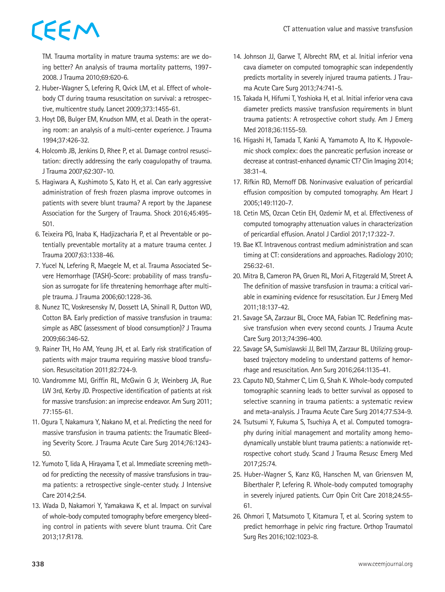TM. Trauma mortality in mature trauma systems: are we doing better? An analysis of trauma mortality patterns, 1997- 2008. J Trauma 2010;69:620-6.

- 2. Huber-Wagner S, Lefering R, Qvick LM, et al. Effect of wholebody CT during trauma resuscitation on survival: a retrospective, multicentre study. Lancet 2009;373:1455-61.
- 3. Hoyt DB, Bulger EM, Knudson MM, et al. Death in the operating room: an analysis of a multi-center experience. J Trauma 1994;37:426-32.
- 4. Holcomb JB, Jenkins D, Rhee P, et al. Damage control resuscitation: directly addressing the early coagulopathy of trauma. J Trauma 2007;62:307-10.
- 5. Hagiwara A, Kushimoto S, Kato H, et al. Can early aggressive administration of fresh frozen plasma improve outcomes in patients with severe blunt trauma? A report by the Japanese Association for the Surgery of Trauma. Shock 2016;45:495- 501.
- 6. Teixeira PG, Inaba K, Hadjizacharia P, et al Preventable or potentially preventable mortality at a mature trauma center. J Trauma 2007;63:1338-46.
- 7. Yucel N, Lefering R, Maegele M, et al. Trauma Associated Severe Hemorrhage (TASH)-Score: probability of mass transfusion as surrogate for life threatening hemorrhage after multiple trauma. J Trauma 2006;60:1228-36.
- 8. Nunez TC, Voskresensky IV, Dossett LA, Shinall R, Dutton WD, Cotton BA. Early prediction of massive transfusion in trauma: simple as ABC (assessment of blood consumption)? J Trauma 2009;66:346-52.
- 9. Rainer TH, Ho AM, Yeung JH, et al. Early risk stratification of patients with major trauma requiring massive blood transfusion. Resuscitation 2011;82:724-9.
- 10. Vandromme MJ, Griffin RL, McGwin G Jr, Weinberg JA, Rue LW 3rd, Kerby JD. Prospective identification of patients at risk for massive transfusion: an imprecise endeavor. Am Surg 2011; 77:155-61.
- 11. Ogura T, Nakamura Y, Nakano M, et al. Predicting the need for massive transfusion in trauma patients: the Traumatic Bleeding Severity Score. J Trauma Acute Care Surg 2014;76:1243- 50.
- 12. Yumoto T, Iida A, Hirayama T, et al. Immediate screening method for predicting the necessity of massive transfusions in trauma patients: a retrospective single-center study. J Intensive Care 2014;2:54.
- 13. Wada D, Nakamori Y, Yamakawa K, et al. Impact on survival of whole-body computed tomography before emergency bleeding control in patients with severe blunt trauma. Crit Care 2013;17:R178.
- 14. Johnson JJ, Garwe T, Albrecht RM, et al. Initial inferior vena cava diameter on computed tomographic scan independently predicts mortality in severely injured trauma patients. J Trauma Acute Care Surg 2013;74:741-5.
- 15. Takada H, Hifumi T, Yoshioka H, et al. Initial inferior vena cava diameter predicts massive transfusion requirements in blunt trauma patients: A retrospective cohort study. Am J Emerg Med 2018;36:1155-59.
- 16. Higashi H, Tamada T, Kanki A, Yamamoto A, Ito K. Hypovolemic shock complex: does the pancreatic perfusion increase or decrease at contrast-enhanced dynamic CT? Clin Imaging 2014; 38:31-4.
- 17. Rifkin RD, Mernoff DB. Noninvasive evaluation of pericardial effusion composition by computed tomography. Am Heart J 2005;149:1120-7.
- 18. Cetin MS, Ozcan Cetin EH, Ozdemir M, et al. Effectiveness of computed tomography attenuation values in characterization of pericardial effusion. Anatol J Cardiol 2017;17:322-7.
- 19. Bae KT. Intravenous contrast medium administration and scan timing at CT: considerations and approaches. Radiology 2010; 256:32-61.
- 20. Mitra B, Cameron PA, Gruen RL, Mori A, Fitzgerald M, Street A. The definition of massive transfusion in trauma: a critical variable in examining evidence for resuscitation. Eur J Emerg Med 2011;18:137-42.
- 21. Savage SA, Zarzaur BL, Croce MA, Fabian TC. Redefining massive transfusion when every second counts. J Trauma Acute Care Surg 2013;74:396-400.
- 22. Savage SA, Sumislawski JJ, Bell TM, Zarzaur BL. Utilizing groupbased trajectory modeling to understand patterns of hemorrhage and resuscitation. Ann Surg 2016;264:1135-41.
- 23. Caputo ND, Stahmer C, Lim G, Shah K. Whole-body computed tomographic scanning leads to better survival as opposed to selective scanning in trauma patients: a systematic review and meta-analysis. J Trauma Acute Care Surg 2014;77:534-9.
- 24. Tsutsumi Y, Fukuma S, Tsuchiya A, et al. Computed tomography during initial management and mortality among hemodynamically unstable blunt trauma patients: a nationwide retrospective cohort study. Scand J Trauma Resusc Emerg Med 2017;25:74.
- 25. Huber-Wagner S, Kanz KG, Hanschen M, van Griensven M, Biberthaler P, Lefering R. Whole-body computed tomography in severely injured patients. Curr Opin Crit Care 2018;24:55- 61.
- 26. Ohmori T, Matsumoto T, Kitamura T, et al. Scoring system to predict hemorrhage in pelvic ring fracture. Orthop Traumatol Surg Res 2016;102:1023-8.